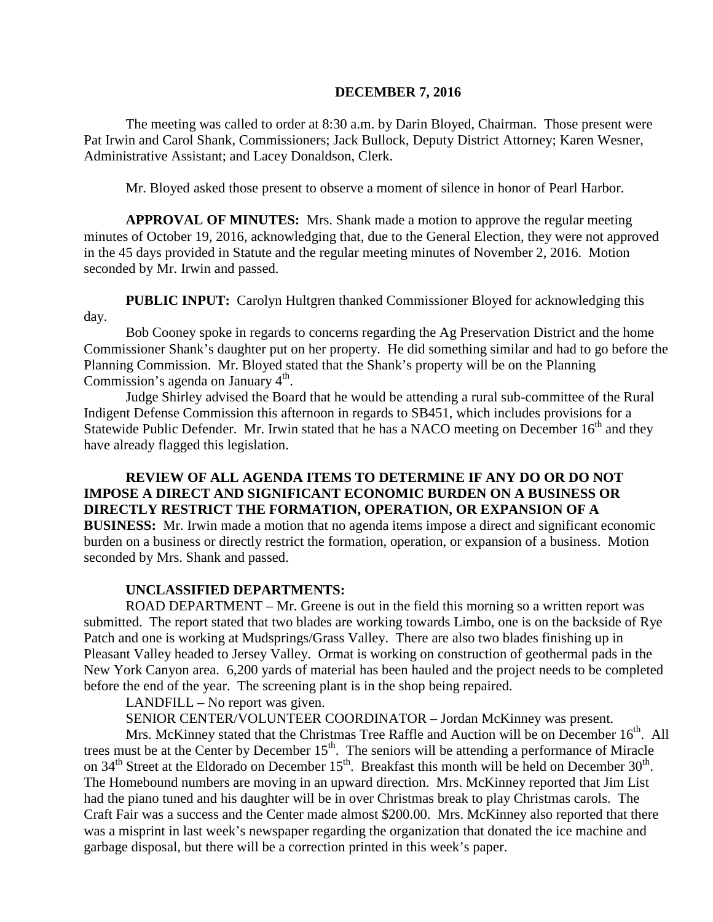#### **DECEMBER 7, 2016**

The meeting was called to order at 8:30 a.m. by Darin Bloyed, Chairman. Those present were Pat Irwin and Carol Shank, Commissioners; Jack Bullock, Deputy District Attorney; Karen Wesner, Administrative Assistant; and Lacey Donaldson, Clerk.

Mr. Bloyed asked those present to observe a moment of silence in honor of Pearl Harbor.

**APPROVAL OF MINUTES:** Mrs. Shank made a motion to approve the regular meeting minutes of October 19, 2016, acknowledging that, due to the General Election, they were not approved in the 45 days provided in Statute and the regular meeting minutes of November 2, 2016. Motion seconded by Mr. Irwin and passed.

 **PUBLIC INPUT:** Carolyn Hultgren thanked Commissioner Bloyed for acknowledging this day.

Bob Cooney spoke in regards to concerns regarding the Ag Preservation District and the home Commissioner Shank's daughter put on her property. He did something similar and had to go before the Planning Commission. Mr. Bloyed stated that the Shank's property will be on the Planning Commission's agenda on January  $4<sup>th</sup>$ .

Judge Shirley advised the Board that he would be attending a rural sub-committee of the Rural Indigent Defense Commission this afternoon in regards to SB451, which includes provisions for a Statewide Public Defender. Mr. Irwin stated that he has a NACO meeting on December  $16<sup>th</sup>$  and they have already flagged this legislation.

**REVIEW OF ALL AGENDA ITEMS TO DETERMINE IF ANY DO OR DO NOT IMPOSE A DIRECT AND SIGNIFICANT ECONOMIC BURDEN ON A BUSINESS OR DIRECTLY RESTRICT THE FORMATION, OPERATION, OR EXPANSION OF A BUSINESS:** Mr. Irwin made a motion that no agenda items impose a direct and significant economic burden on a business or directly restrict the formation, operation, or expansion of a business. Motion seconded by Mrs. Shank and passed.

### **UNCLASSIFIED DEPARTMENTS:**

ROAD DEPARTMENT – Mr. Greene is out in the field this morning so a written report was submitted. The report stated that two blades are working towards Limbo, one is on the backside of Rye Patch and one is working at Mudsprings/Grass Valley. There are also two blades finishing up in Pleasant Valley headed to Jersey Valley. Ormat is working on construction of geothermal pads in the New York Canyon area. 6,200 yards of material has been hauled and the project needs to be completed before the end of the year. The screening plant is in the shop being repaired.

LANDFILL – No report was given.

SENIOR CENTER/VOLUNTEER COORDINATOR – Jordan McKinney was present.

Mrs. McKinney stated that the Christmas Tree Raffle and Auction will be on December 16<sup>th</sup>. All trees must be at the Center by December  $15<sup>th</sup>$ . The seniors will be attending a performance of Miracle on 34<sup>th</sup> Street at the Eldorado on December 15<sup>th</sup>. Breakfast this month will be held on December 30<sup>th</sup>. The Homebound numbers are moving in an upward direction. Mrs. McKinney reported that Jim List had the piano tuned and his daughter will be in over Christmas break to play Christmas carols. The Craft Fair was a success and the Center made almost \$200.00. Mrs. McKinney also reported that there was a misprint in last week's newspaper regarding the organization that donated the ice machine and garbage disposal, but there will be a correction printed in this week's paper.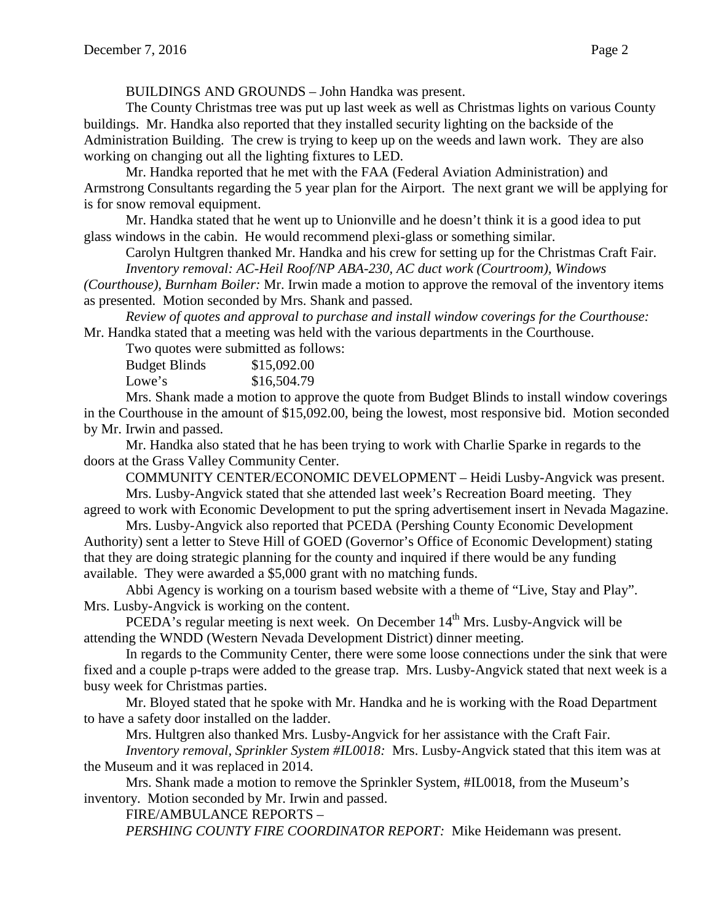BUILDINGS AND GROUNDS – John Handka was present.

The County Christmas tree was put up last week as well as Christmas lights on various County buildings. Mr. Handka also reported that they installed security lighting on the backside of the Administration Building. The crew is trying to keep up on the weeds and lawn work. They are also working on changing out all the lighting fixtures to LED.

Mr. Handka reported that he met with the FAA (Federal Aviation Administration) and Armstrong Consultants regarding the 5 year plan for the Airport. The next grant we will be applying for is for snow removal equipment.

Mr. Handka stated that he went up to Unionville and he doesn't think it is a good idea to put glass windows in the cabin. He would recommend plexi-glass or something similar.

Carolyn Hultgren thanked Mr. Handka and his crew for setting up for the Christmas Craft Fair. *Inventory removal: AC-Heil Roof/NP ABA-230, AC duct work (Courtroom), Windows*

*(Courthouse), Burnham Boiler:* Mr. Irwin made a motion to approve the removal of the inventory items as presented. Motion seconded by Mrs. Shank and passed.

*Review of quotes and approval to purchase and install window coverings for the Courthouse:*  Mr. Handka stated that a meeting was held with the various departments in the Courthouse.

Two quotes were submitted as follows:

| <b>Budget Blinds</b> | \$15,092.00 |
|----------------------|-------------|
| Lowe's               | \$16,504.79 |

Mrs. Shank made a motion to approve the quote from Budget Blinds to install window coverings in the Courthouse in the amount of \$15,092.00, being the lowest, most responsive bid. Motion seconded by Mr. Irwin and passed.

Mr. Handka also stated that he has been trying to work with Charlie Sparke in regards to the doors at the Grass Valley Community Center.

COMMUNITY CENTER/ECONOMIC DEVELOPMENT – Heidi Lusby-Angvick was present. Mrs. Lusby-Angvick stated that she attended last week's Recreation Board meeting. They

agreed to work with Economic Development to put the spring advertisement insert in Nevada Magazine. Mrs. Lusby-Angvick also reported that PCEDA (Pershing County Economic Development

Authority) sent a letter to Steve Hill of GOED (Governor's Office of Economic Development) stating that they are doing strategic planning for the county and inquired if there would be any funding available. They were awarded a \$5,000 grant with no matching funds.

Abbi Agency is working on a tourism based website with a theme of "Live, Stay and Play". Mrs. Lusby-Angvick is working on the content.

PCEDA's regular meeting is next week. On December 14<sup>th</sup> Mrs. Lusby-Angvick will be attending the WNDD (Western Nevada Development District) dinner meeting.

In regards to the Community Center, there were some loose connections under the sink that were fixed and a couple p-traps were added to the grease trap. Mrs. Lusby-Angvick stated that next week is a busy week for Christmas parties.

Mr. Bloyed stated that he spoke with Mr. Handka and he is working with the Road Department to have a safety door installed on the ladder.

Mrs. Hultgren also thanked Mrs. Lusby-Angvick for her assistance with the Craft Fair.

*Inventory removal, Sprinkler System #IL0018:* Mrs. Lusby-Angvick stated that this item was at the Museum and it was replaced in 2014.

Mrs. Shank made a motion to remove the Sprinkler System, #IL0018, from the Museum's inventory. Motion seconded by Mr. Irwin and passed.

FIRE/AMBULANCE REPORTS –

*PERSHING COUNTY FIRE COORDINATOR REPORT:* Mike Heidemann was present.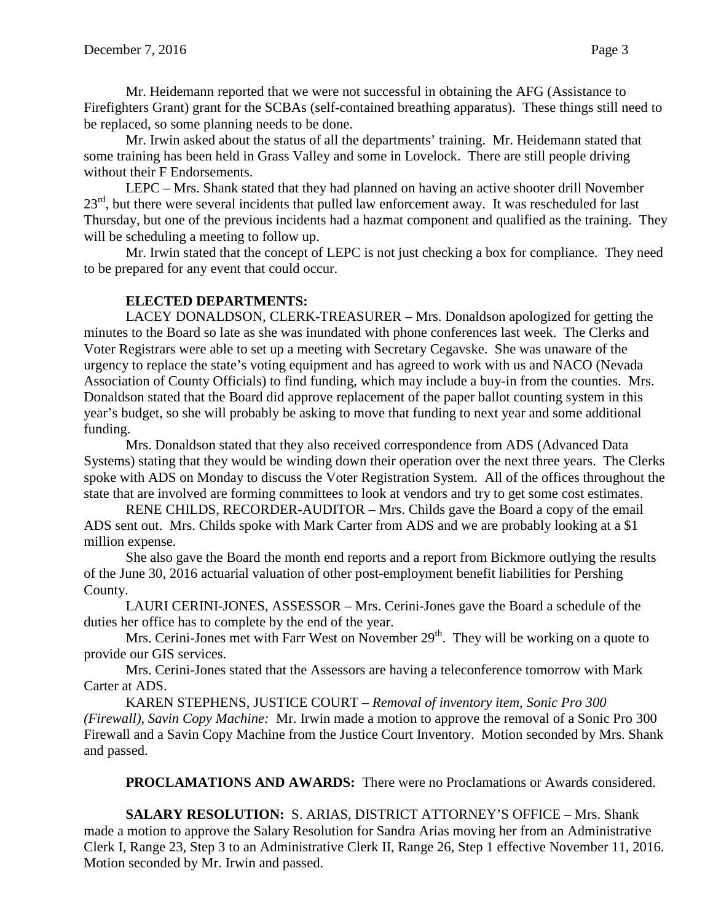Mr. Heidemann reported that we were not successful in obtaining the AFG (Assistance to Firefighters Grant) grant for the SCBAs (self-contained breathing apparatus). These things still need to be replaced, so some planning needs to be done.

Mr. Irwin asked about the status of all the departments' training. Mr. Heidemann stated that some training has been held in Grass Valley and some in Lovelock. There are still people driving without their F Endorsements.

LEPC – Mrs. Shank stated that they had planned on having an active shooter drill November 23<sup>rd</sup>, but there were several incidents that pulled law enforcement away. It was rescheduled for last Thursday, but one of the previous incidents had a hazmat component and qualified as the training. They will be scheduling a meeting to follow up.

Mr. Irwin stated that the concept of LEPC is not just checking a box for compliance. They need to be prepared for any event that could occur.

# **ELECTED DEPARTMENTS:**

LACEY DONALDSON, CLERK-TREASURER – Mrs. Donaldson apologized for getting the minutes to the Board so late as she was inundated with phone conferences last week. The Clerks and Voter Registrars were able to set up a meeting with Secretary Cegavske. She was unaware of the urgency to replace the state's voting equipment and has agreed to work with us and NACO (Nevada Association of County Officials) to find funding, which may include a buy-in from the counties. Mrs. Donaldson stated that the Board did approve replacement of the paper ballot counting system in this year's budget, so she will probably be asking to move that funding to next year and some additional funding.

Mrs. Donaldson stated that they also received correspondence from ADS (Advanced Data Systems) stating that they would be winding down their operation over the next three years. The Clerks spoke with ADS on Monday to discuss the Voter Registration System. All of the offices throughout the state that are involved are forming committees to look at vendors and try to get some cost estimates.

RENE CHILDS, RECORDER-AUDITOR – Mrs. Childs gave the Board a copy of the email ADS sent out. Mrs. Childs spoke with Mark Carter from ADS and we are probably looking at a \$1 million expense.

She also gave the Board the month end reports and a report from Bickmore outlying the results of the June 30, 2016 actuarial valuation of other post-employment benefit liabilities for Pershing County.

LAURI CERINI-JONES, ASSESSOR – Mrs. Cerini-Jones gave the Board a schedule of the duties her office has to complete by the end of the year.

Mrs. Cerini-Jones met with Farr West on November  $29<sup>th</sup>$ . They will be working on a quote to provide our GIS services.

Mrs. Cerini-Jones stated that the Assessors are having a teleconference tomorrow with Mark Carter at ADS.

KAREN STEPHENS, JUSTICE COURT – *Removal of inventory item, Sonic Pro 300 (Firewall), Savin Copy Machine:* Mr. Irwin made a motion to approve the removal of a Sonic Pro 300 Firewall and a Savin Copy Machine from the Justice Court Inventory. Motion seconded by Mrs. Shank and passed.

**PROCLAMATIONS AND AWARDS:** There were no Proclamations or Awards considered.

**SALARY RESOLUTION:** S. ARIAS, DISTRICT ATTORNEY'S OFFICE – Mrs. Shank made a motion to approve the Salary Resolution for Sandra Arias moving her from an Administrative Clerk I, Range 23, Step 3 to an Administrative Clerk II, Range 26, Step 1 effective November 11, 2016. Motion seconded by Mr. Irwin and passed.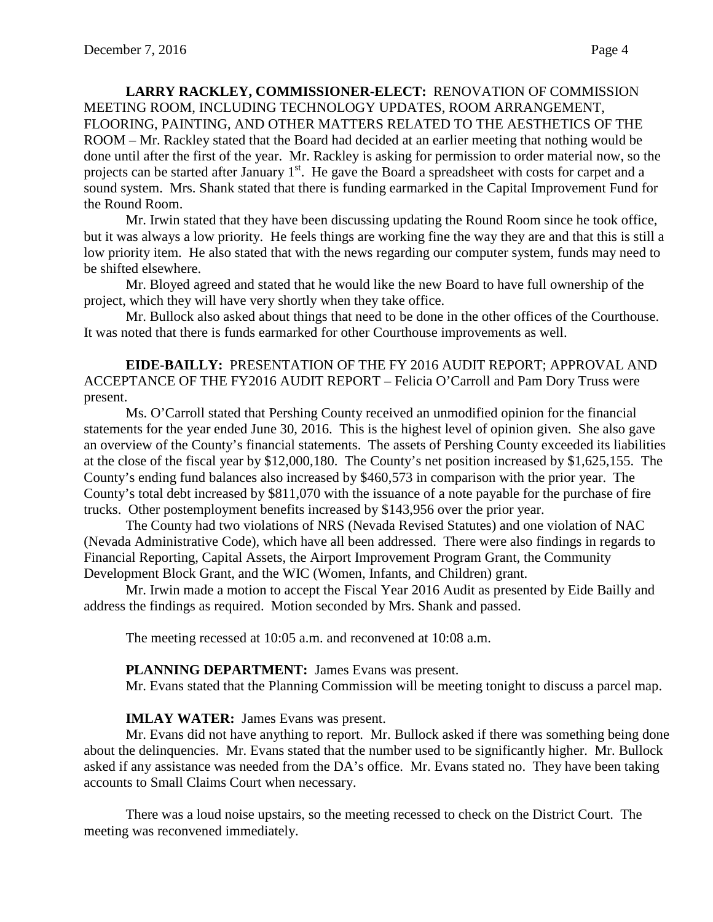**LARRY RACKLEY, COMMISSIONER-ELECT:** RENOVATION OF COMMISSION MEETING ROOM, INCLUDING TECHNOLOGY UPDATES, ROOM ARRANGEMENT, FLOORING, PAINTING, AND OTHER MATTERS RELATED TO THE AESTHETICS OF THE ROOM – Mr. Rackley stated that the Board had decided at an earlier meeting that nothing would be done until after the first of the year. Mr. Rackley is asking for permission to order material now, so the projects can be started after January 1<sup>st</sup>. He gave the Board a spreadsheet with costs for carpet and a sound system. Mrs. Shank stated that there is funding earmarked in the Capital Improvement Fund for the Round Room.

Mr. Irwin stated that they have been discussing updating the Round Room since he took office, but it was always a low priority. He feels things are working fine the way they are and that this is still a low priority item. He also stated that with the news regarding our computer system, funds may need to be shifted elsewhere.

Mr. Bloyed agreed and stated that he would like the new Board to have full ownership of the project, which they will have very shortly when they take office.

Mr. Bullock also asked about things that need to be done in the other offices of the Courthouse. It was noted that there is funds earmarked for other Courthouse improvements as well.

**EIDE-BAILLY:** PRESENTATION OF THE FY 2016 AUDIT REPORT; APPROVAL AND ACCEPTANCE OF THE FY2016 AUDIT REPORT – Felicia O'Carroll and Pam Dory Truss were present.

Ms. O'Carroll stated that Pershing County received an unmodified opinion for the financial statements for the year ended June 30, 2016. This is the highest level of opinion given. She also gave an overview of the County's financial statements. The assets of Pershing County exceeded its liabilities at the close of the fiscal year by \$12,000,180. The County's net position increased by \$1,625,155. The County's ending fund balances also increased by \$460,573 in comparison with the prior year. The County's total debt increased by \$811,070 with the issuance of a note payable for the purchase of fire trucks. Other postemployment benefits increased by \$143,956 over the prior year.

The County had two violations of NRS (Nevada Revised Statutes) and one violation of NAC (Nevada Administrative Code), which have all been addressed. There were also findings in regards to Financial Reporting, Capital Assets, the Airport Improvement Program Grant, the Community Development Block Grant, and the WIC (Women, Infants, and Children) grant.

Mr. Irwin made a motion to accept the Fiscal Year 2016 Audit as presented by Eide Bailly and address the findings as required. Motion seconded by Mrs. Shank and passed.

The meeting recessed at 10:05 a.m. and reconvened at 10:08 a.m.

### **PLANNING DEPARTMENT:** James Evans was present.

Mr. Evans stated that the Planning Commission will be meeting tonight to discuss a parcel map.

### **IMLAY WATER:** James Evans was present.

Mr. Evans did not have anything to report. Mr. Bullock asked if there was something being done about the delinquencies. Mr. Evans stated that the number used to be significantly higher. Mr. Bullock asked if any assistance was needed from the DA's office. Mr. Evans stated no. They have been taking accounts to Small Claims Court when necessary.

There was a loud noise upstairs, so the meeting recessed to check on the District Court. The meeting was reconvened immediately.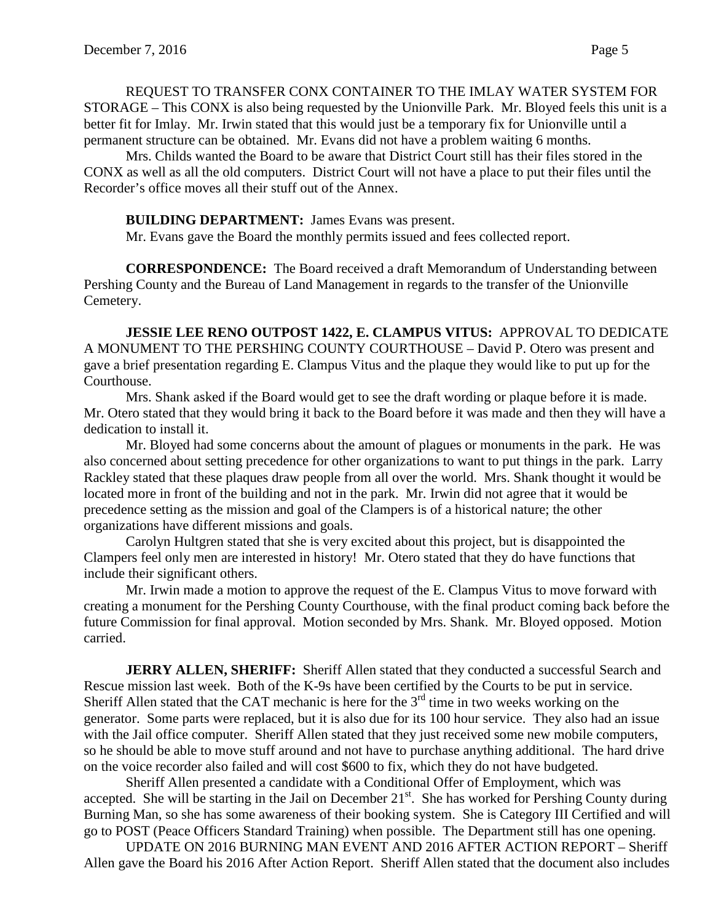REQUEST TO TRANSFER CONX CONTAINER TO THE IMLAY WATER SYSTEM FOR STORAGE – This CONX is also being requested by the Unionville Park. Mr. Bloyed feels this unit is a better fit for Imlay. Mr. Irwin stated that this would just be a temporary fix for Unionville until a permanent structure can be obtained. Mr. Evans did not have a problem waiting 6 months.

Mrs. Childs wanted the Board to be aware that District Court still has their files stored in the CONX as well as all the old computers. District Court will not have a place to put their files until the Recorder's office moves all their stuff out of the Annex.

### **BUILDING DEPARTMENT:** James Evans was present.

Mr. Evans gave the Board the monthly permits issued and fees collected report.

**CORRESPONDENCE:** The Board received a draft Memorandum of Understanding between Pershing County and the Bureau of Land Management in regards to the transfer of the Unionville Cemetery.

**JESSIE LEE RENO OUTPOST 1422, E. CLAMPUS VITUS:** APPROVAL TO DEDICATE A MONUMENT TO THE PERSHING COUNTY COURTHOUSE – David P. Otero was present and gave a brief presentation regarding E. Clampus Vitus and the plaque they would like to put up for the Courthouse.

Mrs. Shank asked if the Board would get to see the draft wording or plaque before it is made. Mr. Otero stated that they would bring it back to the Board before it was made and then they will have a dedication to install it.

Mr. Bloyed had some concerns about the amount of plagues or monuments in the park. He was also concerned about setting precedence for other organizations to want to put things in the park. Larry Rackley stated that these plaques draw people from all over the world. Mrs. Shank thought it would be located more in front of the building and not in the park. Mr. Irwin did not agree that it would be precedence setting as the mission and goal of the Clampers is of a historical nature; the other organizations have different missions and goals.

Carolyn Hultgren stated that she is very excited about this project, but is disappointed the Clampers feel only men are interested in history! Mr. Otero stated that they do have functions that include their significant others.

Mr. Irwin made a motion to approve the request of the E. Clampus Vitus to move forward with creating a monument for the Pershing County Courthouse, with the final product coming back before the future Commission for final approval. Motion seconded by Mrs. Shank. Mr. Bloyed opposed. Motion carried.

JERRY ALLEN, SHERIFF: Sheriff Allen stated that they conducted a successful Search and Rescue mission last week. Both of the K-9s have been certified by the Courts to be put in service. Sheriff Allen stated that the CAT mechanic is here for the  $3<sup>rd</sup>$  time in two weeks working on the generator. Some parts were replaced, but it is also due for its 100 hour service. They also had an issue with the Jail office computer. Sheriff Allen stated that they just received some new mobile computers, so he should be able to move stuff around and not have to purchase anything additional. The hard drive on the voice recorder also failed and will cost \$600 to fix, which they do not have budgeted.

Sheriff Allen presented a candidate with a Conditional Offer of Employment, which was accepted. She will be starting in the Jail on December 21<sup>st</sup>. She has worked for Pershing County during Burning Man, so she has some awareness of their booking system. She is Category III Certified and will go to POST (Peace Officers Standard Training) when possible. The Department still has one opening.

UPDATE ON 2016 BURNING MAN EVENT AND 2016 AFTER ACTION REPORT – Sheriff Allen gave the Board his 2016 After Action Report. Sheriff Allen stated that the document also includes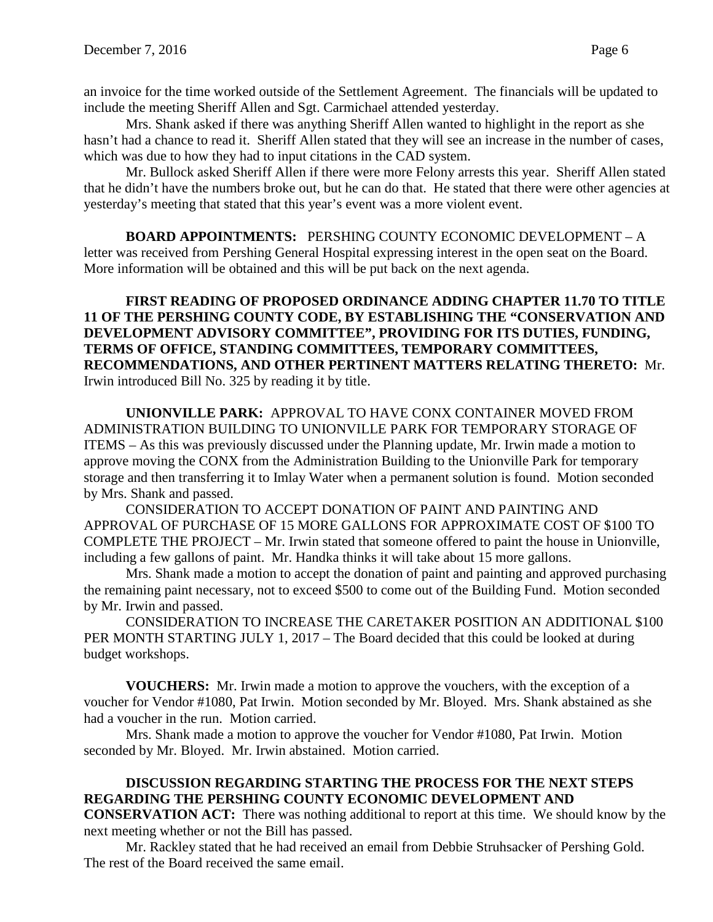an invoice for the time worked outside of the Settlement Agreement. The financials will be updated to include the meeting Sheriff Allen and Sgt. Carmichael attended yesterday.

Mrs. Shank asked if there was anything Sheriff Allen wanted to highlight in the report as she hasn't had a chance to read it. Sheriff Allen stated that they will see an increase in the number of cases, which was due to how they had to input citations in the CAD system.

Mr. Bullock asked Sheriff Allen if there were more Felony arrests this year. Sheriff Allen stated that he didn't have the numbers broke out, but he can do that. He stated that there were other agencies at yesterday's meeting that stated that this year's event was a more violent event.

**BOARD APPOINTMENTS:** PERSHING COUNTY ECONOMIC DEVELOPMENT – A letter was received from Pershing General Hospital expressing interest in the open seat on the Board. More information will be obtained and this will be put back on the next agenda.

**FIRST READING OF PROPOSED ORDINANCE ADDING CHAPTER 11.70 TO TITLE 11 OF THE PERSHING COUNTY CODE, BY ESTABLISHING THE "CONSERVATION AND DEVELOPMENT ADVISORY COMMITTEE", PROVIDING FOR ITS DUTIES, FUNDING, TERMS OF OFFICE, STANDING COMMITTEES, TEMPORARY COMMITTEES, RECOMMENDATIONS, AND OTHER PERTINENT MATTERS RELATING THERETO:** Mr. Irwin introduced Bill No. 325 by reading it by title.

**UNIONVILLE PARK:** APPROVAL TO HAVE CONX CONTAINER MOVED FROM ADMINISTRATION BUILDING TO UNIONVILLE PARK FOR TEMPORARY STORAGE OF ITEMS – As this was previously discussed under the Planning update, Mr. Irwin made a motion to approve moving the CONX from the Administration Building to the Unionville Park for temporary storage and then transferring it to Imlay Water when a permanent solution is found. Motion seconded by Mrs. Shank and passed.

CONSIDERATION TO ACCEPT DONATION OF PAINT AND PAINTING AND APPROVAL OF PURCHASE OF 15 MORE GALLONS FOR APPROXIMATE COST OF \$100 TO COMPLETE THE PROJECT – Mr. Irwin stated that someone offered to paint the house in Unionville, including a few gallons of paint. Mr. Handka thinks it will take about 15 more gallons.

Mrs. Shank made a motion to accept the donation of paint and painting and approved purchasing the remaining paint necessary, not to exceed \$500 to come out of the Building Fund. Motion seconded by Mr. Irwin and passed.

CONSIDERATION TO INCREASE THE CARETAKER POSITION AN ADDITIONAL \$100 PER MONTH STARTING JULY 1, 2017 – The Board decided that this could be looked at during budget workshops.

**VOUCHERS:** Mr. Irwin made a motion to approve the vouchers, with the exception of a voucher for Vendor #1080, Pat Irwin. Motion seconded by Mr. Bloyed. Mrs. Shank abstained as she had a voucher in the run. Motion carried.

Mrs. Shank made a motion to approve the voucher for Vendor #1080, Pat Irwin. Motion seconded by Mr. Bloyed. Mr. Irwin abstained. Motion carried.

# **DISCUSSION REGARDING STARTING THE PROCESS FOR THE NEXT STEPS REGARDING THE PERSHING COUNTY ECONOMIC DEVELOPMENT AND**

**CONSERVATION ACT:** There was nothing additional to report at this time. We should know by the next meeting whether or not the Bill has passed.

Mr. Rackley stated that he had received an email from Debbie Struhsacker of Pershing Gold. The rest of the Board received the same email.